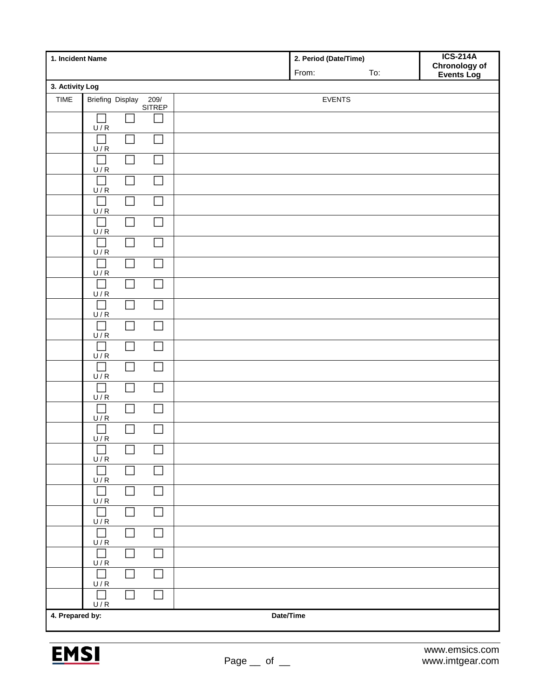| 1. Incident Name             |                                    |                             |  | 2. Period (Date/Time)<br>From:<br>To: | <b>ICS-214A</b><br><b>Chronology of</b><br><b>Events Log</b> |
|------------------------------|------------------------------------|-----------------------------|--|---------------------------------------|--------------------------------------------------------------|
| 3. Activity Log              |                                    |                             |  |                                       |                                                              |
| TIME                         | <b>Briefing Display</b>            | 209/<br>SITREP              |  | <b>EVENTS</b>                         |                                                              |
|                              | U/R                                |                             |  |                                       |                                                              |
|                              | $\Box$<br>U/R                      |                             |  |                                       |                                                              |
|                              | $\Box$<br>U/R                      | $\overline{\phantom{a}}$    |  |                                       |                                                              |
|                              | $\Box$<br>U/R                      | Π                           |  |                                       |                                                              |
|                              | $\mathcal{L}_{\mathcal{A}}$<br>U/R |                             |  |                                       |                                                              |
|                              | $\Box$<br>U/R                      |                             |  |                                       |                                                              |
|                              | U/R                                |                             |  |                                       |                                                              |
|                              | U/R                                |                             |  |                                       |                                                              |
|                              | $\Box$<br>U/R                      |                             |  |                                       |                                                              |
|                              | $\Box$<br>U/R                      |                             |  |                                       |                                                              |
|                              | $\Box$<br>U/R                      |                             |  |                                       |                                                              |
|                              | $\mathbf{L}$<br>U/R                |                             |  |                                       |                                                              |
|                              | Г<br>U/R                           |                             |  |                                       |                                                              |
|                              | L.<br>U/R                          |                             |  |                                       |                                                              |
|                              | $\Box$<br>U/R                      | $\mathbf{I}$                |  |                                       |                                                              |
|                              | U/R                                |                             |  |                                       |                                                              |
|                              | $\Box$<br>U/R                      | П                           |  |                                       |                                                              |
|                              | $\Box$<br>U/R                      |                             |  |                                       |                                                              |
|                              | $\Box$<br>U/R                      |                             |  |                                       |                                                              |
|                              | $\Box$<br>U/R                      |                             |  |                                       |                                                              |
|                              | $\overline{\phantom{a}}$<br>U/R    | $\Box$                      |  |                                       |                                                              |
|                              | $\mathcal{L}_{\mathcal{A}}$<br>U/R | $\Box$                      |  |                                       |                                                              |
|                              | $\mathcal{L}_{\mathcal{A}}$<br>U/R | $\mathcal{L}_{\mathcal{A}}$ |  |                                       |                                                              |
|                              | П<br>U/R                           | $\mathcal{L}_{\mathcal{A}}$ |  |                                       |                                                              |
| 4. Prepared by:<br>Date/Time |                                    |                             |  |                                       |                                                              |